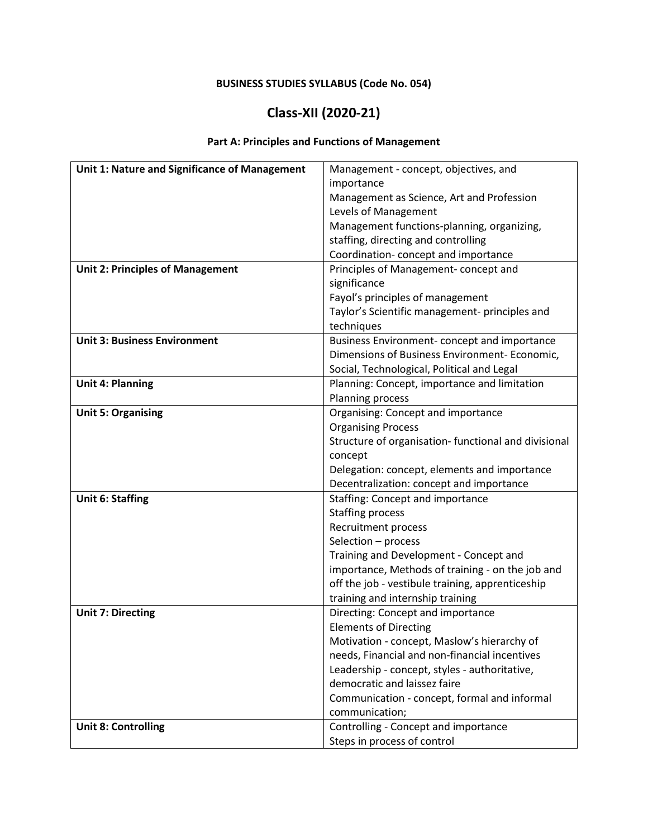### **BUSINESS STUDIES SYLLABUS (Code No. 054)**

## **Class-XII (2020-21)**

### **Part A: Principles and Functions of Management**

| Unit 1: Nature and Significance of Management | Management - concept, objectives, and                |  |  |
|-----------------------------------------------|------------------------------------------------------|--|--|
|                                               | importance                                           |  |  |
|                                               | Management as Science, Art and Profession            |  |  |
|                                               | Levels of Management                                 |  |  |
|                                               | Management functions-planning, organizing,           |  |  |
|                                               | staffing, directing and controlling                  |  |  |
|                                               | Coordination-concept and importance                  |  |  |
| <b>Unit 2: Principles of Management</b>       | Principles of Management-concept and<br>significance |  |  |
|                                               |                                                      |  |  |
|                                               | Fayol's principles of management                     |  |  |
|                                               | Taylor's Scientific management- principles and       |  |  |
|                                               | techniques                                           |  |  |
| <b>Unit 3: Business Environment</b>           | Business Environment-concept and importance          |  |  |
|                                               | Dimensions of Business Environment- Economic,        |  |  |
|                                               | Social, Technological, Political and Legal           |  |  |
| <b>Unit 4: Planning</b>                       | Planning: Concept, importance and limitation         |  |  |
|                                               | Planning process                                     |  |  |
| <b>Unit 5: Organising</b>                     | Organising: Concept and importance                   |  |  |
|                                               | <b>Organising Process</b>                            |  |  |
|                                               | Structure of organisation- functional and divisional |  |  |
|                                               | concept                                              |  |  |
|                                               | Delegation: concept, elements and importance         |  |  |
|                                               | Decentralization: concept and importance             |  |  |
| <b>Unit 6: Staffing</b>                       | Staffing: Concept and importance                     |  |  |
|                                               | <b>Staffing process</b>                              |  |  |
|                                               | Recruitment process                                  |  |  |
|                                               | Selection - process                                  |  |  |
|                                               | Training and Development - Concept and               |  |  |
|                                               | importance, Methods of training - on the job and     |  |  |
|                                               | off the job - vestibule training, apprenticeship     |  |  |
|                                               | training and internship training                     |  |  |
| <b>Unit 7: Directing</b>                      | Directing: Concept and importance                    |  |  |
|                                               | <b>Elements of Directing</b>                         |  |  |
|                                               | Motivation - concept, Maslow's hierarchy of          |  |  |
|                                               | needs, Financial and non-financial incentives        |  |  |
|                                               | Leadership - concept, styles - authoritative,        |  |  |
|                                               | democratic and laissez faire                         |  |  |
|                                               | Communication - concept, formal and informal         |  |  |
|                                               | communication;                                       |  |  |
| <b>Unit 8: Controlling</b>                    | Controlling - Concept and importance                 |  |  |
|                                               | Steps in process of control                          |  |  |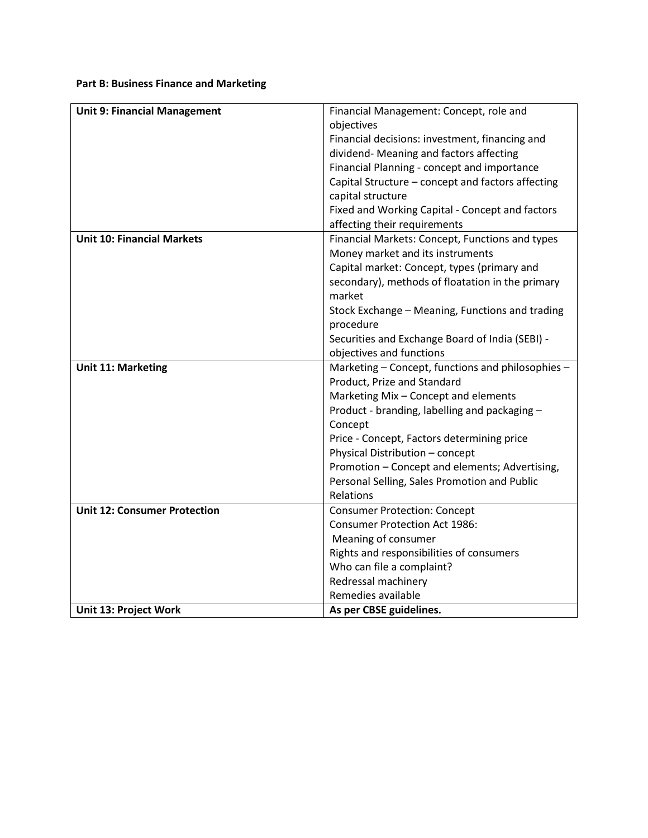#### **Part B: Business Finance and Marketing**

| <b>Unit 9: Financial Management</b> | Financial Management: Concept, role and           |  |  |
|-------------------------------------|---------------------------------------------------|--|--|
|                                     | objectives                                        |  |  |
|                                     | Financial decisions: investment, financing and    |  |  |
|                                     | dividend- Meaning and factors affecting           |  |  |
|                                     | Financial Planning - concept and importance       |  |  |
|                                     | Capital Structure - concept and factors affecting |  |  |
|                                     | capital structure                                 |  |  |
|                                     | Fixed and Working Capital - Concept and factors   |  |  |
|                                     | affecting their requirements                      |  |  |
| <b>Unit 10: Financial Markets</b>   | Financial Markets: Concept, Functions and types   |  |  |
|                                     | Money market and its instruments                  |  |  |
|                                     | Capital market: Concept, types (primary and       |  |  |
|                                     | secondary), methods of floatation in the primary  |  |  |
|                                     | market                                            |  |  |
|                                     | Stock Exchange - Meaning, Functions and trading   |  |  |
|                                     | procedure                                         |  |  |
|                                     | Securities and Exchange Board of India (SEBI) -   |  |  |
|                                     | objectives and functions                          |  |  |
| <b>Unit 11: Marketing</b>           | Marketing - Concept, functions and philosophies - |  |  |
|                                     | Product, Prize and Standard                       |  |  |
|                                     | Marketing Mix - Concept and elements              |  |  |
|                                     | Product - branding, labelling and packaging -     |  |  |
|                                     | Concept                                           |  |  |
|                                     | Price - Concept, Factors determining price        |  |  |
|                                     | Physical Distribution - concept                   |  |  |
|                                     | Promotion - Concept and elements; Advertising,    |  |  |
|                                     | Personal Selling, Sales Promotion and Public      |  |  |
|                                     | Relations                                         |  |  |
| <b>Unit 12: Consumer Protection</b> | <b>Consumer Protection: Concept</b>               |  |  |
|                                     | <b>Consumer Protection Act 1986:</b>              |  |  |
|                                     | Meaning of consumer                               |  |  |
|                                     | Rights and responsibilities of consumers          |  |  |
|                                     | Who can file a complaint?                         |  |  |
|                                     | Redressal machinery                               |  |  |
|                                     | Remedies available                                |  |  |
| Unit 13: Project Work               | As per CBSE guidelines.                           |  |  |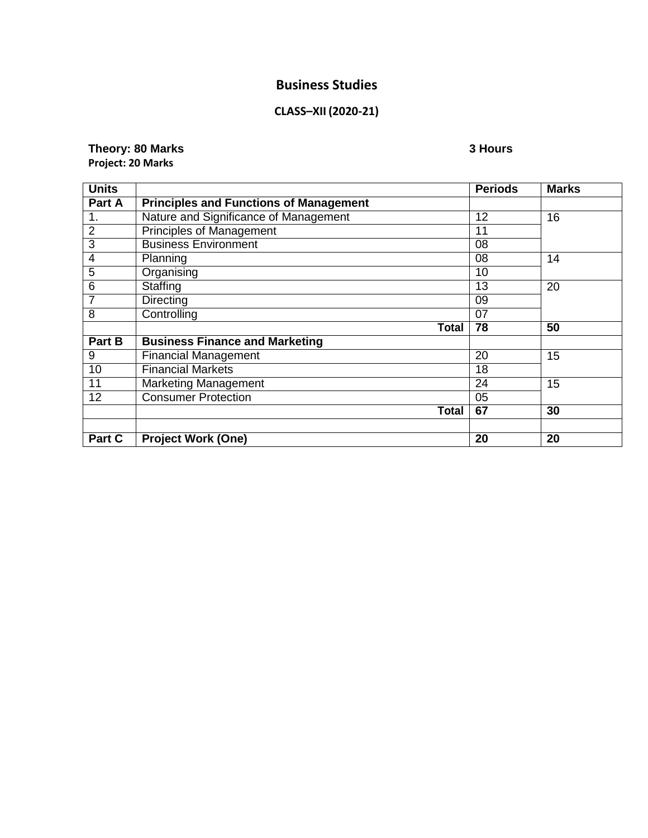## **Business Studies**

### **CLASS–XII (2020-21)**

#### **Theory: 80 Marks 3 Hours Project: 20 Marks**

| <b>Units</b>   |                                               | <b>Periods</b> | <b>Marks</b> |
|----------------|-----------------------------------------------|----------------|--------------|
| Part A         | <b>Principles and Functions of Management</b> |                |              |
| 1.             | Nature and Significance of Management         | 12             | 16           |
| $\overline{2}$ | <b>Principles of Management</b>               | 11             |              |
| 3              | <b>Business Environment</b>                   | 08             |              |
| 4              | Planning                                      | 08             | 14           |
| 5              | Organising                                    | 10             |              |
| 6              | Staffing                                      | 13             | 20           |
| $\overline{7}$ | <b>Directing</b>                              | 09             |              |
| $\overline{8}$ | Controlling                                   | 07             |              |
|                | Total                                         | 78             | 50           |
| Part B         | <b>Business Finance and Marketing</b>         |                |              |
| 9              | <b>Financial Management</b>                   | 20             | 15           |
| 10             | <b>Financial Markets</b>                      | 18             |              |
| 11             | <b>Marketing Management</b>                   | 24             | 15           |
| 12             | <b>Consumer Protection</b>                    | 05             |              |
|                | <b>Total</b>                                  | 67             | 30           |
|                |                                               |                |              |
| Part C         | <b>Project Work (One)</b>                     | 20             | 20           |